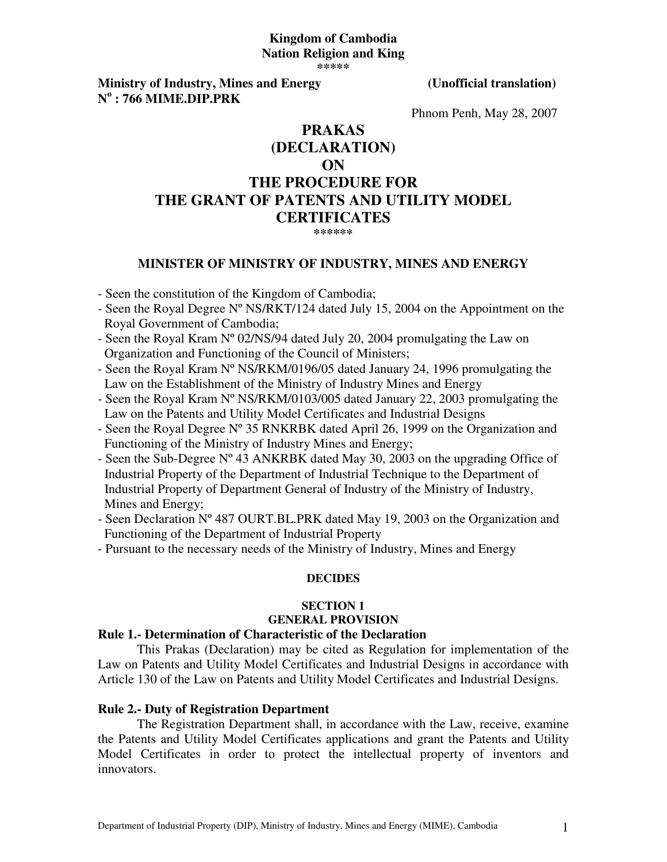#### **Kingdom of Cambodia Nation Religion and King \*\*\*\*\***

**Ministry of Industry, Mines and Energy (Unofficial translation) N o : 766 MIME.DIP.PRK** 

Phnom Penh, May 28, 2007

# **PRAKAS**

# **(DECLARATION) ON THE PROCEDURE FOR**

# **THE GRANT OF PATENTS AND UTILITY MODEL**

# **CERTIFICATES**

#### **\*\*\*\*\*\***

# **MINISTER OF MINISTRY OF INDUSTRY, MINES AND ENERGY**

- Seen the constitution of the Kingdom of Cambodia;
- Seen the Royal Degree Nº NS/RKT/124 dated July 15, 2004 on the Appointment on the Royal Government of Cambodia;
- Seen the Royal Kram Nº 02/NS/94 dated July 20, 2004 promulgating the Law on Organization and Functioning of the Council of Ministers;
- Seen the Royal Kram Nº NS/RKM/0196/05 dated January 24, 1996 promulgating the Law on the Establishment of the Ministry of Industry Mines and Energy
- Seen the Royal Kram Nº NS/RKM/0103/005 dated January 22, 2003 promulgating the Law on the Patents and Utility Model Certificates and Industrial Designs
- Seen the Royal Degree Nº 35 RNKRBK dated April 26, 1999 on the Organization and Functioning of the Ministry of Industry Mines and Energy;
- Seen the Sub-Degree N° 43 ANKRBK dated May 30, 2003 on the upgrading Office of Industrial Property of the Department of Industrial Technique to the Department of Industrial Property of Department General of Industry of the Ministry of Industry, Mines and Energy;
- Seen Declaration Nº 487 OURT.BL.PRK dated May 19, 2003 on the Organization and Functioning of the Department of Industrial Property
- Pursuant to the necessary needs of the Ministry of Industry, Mines and Energy

#### **DECIDES**

# **SECTION 1 GENERAL PROVISION**

#### **Rule 1.- Determination of Characteristic of the Declaration**

 This Prakas (Declaration) may be cited as Regulation for implementation of the Law on Patents and Utility Model Certificates and Industrial Designs in accordance with Article 130 of the Law on Patents and Utility Model Certificates and Industrial Designs.

# **Rule 2.- Duty of Registration Department**

 The Registration Department shall, in accordance with the Law, receive, examine the Patents and Utility Model Certificates applications and grant the Patents and Utility Model Certificates in order to protect the intellectual property of inventors and innovators.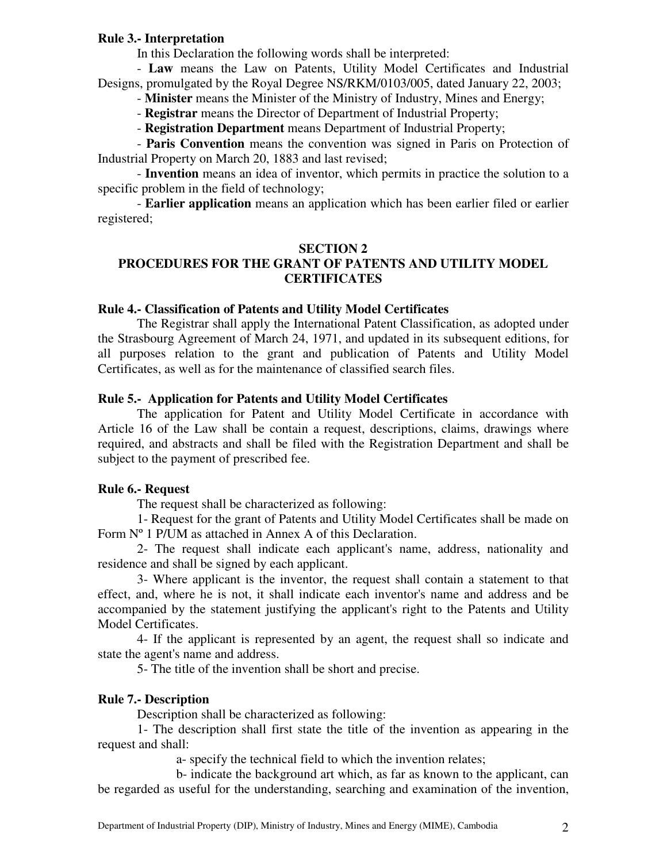#### **Rule 3.- Interpretation**

In this Declaration the following words shall be interpreted:

- **Law** means the Law on Patents, Utility Model Certificates and Industrial Designs, promulgated by the Royal Degree NS/RKM/0103/005, dated January 22, 2003;

- **Minister** means the Minister of the Ministry of Industry, Mines and Energy;

- **Registrar** means the Director of Department of Industrial Property;

- **Registration Department** means Department of Industrial Property;

 - **Paris Convention** means the convention was signed in Paris on Protection of Industrial Property on March 20, 1883 and last revised;

 - **Invention** means an idea of inventor, which permits in practice the solution to a specific problem in the field of technology;

 - **Earlier application** means an application which has been earlier filed or earlier registered;

### **SECTION 2**

# **PROCEDURES FOR THE GRANT OF PATENTS AND UTILITY MODEL CERTIFICATES**

# **Rule 4.- Classification of Patents and Utility Model Certificates**

 The Registrar shall apply the International Patent Classification, as adopted under the Strasbourg Agreement of March 24, 1971, and updated in its subsequent editions, for all purposes relation to the grant and publication of Patents and Utility Model Certificates, as well as for the maintenance of classified search files.

### **Rule 5.- Application for Patents and Utility Model Certificates**

 The application for Patent and Utility Model Certificate in accordance with Article 16 of the Law shall be contain a request, descriptions, claims, drawings where required, and abstracts and shall be filed with the Registration Department and shall be subject to the payment of prescribed fee.

#### **Rule 6.- Request**

The request shall be characterized as following:

1- Request for the grant of Patents and Utility Model Certificates shall be made on Form N<sup>o</sup> 1 P/UM as attached in Annex A of this Declaration.

2- The request shall indicate each applicant's name, address, nationality and residence and shall be signed by each applicant.

3- Where applicant is the inventor, the request shall contain a statement to that effect, and, where he is not, it shall indicate each inventor's name and address and be accompanied by the statement justifying the applicant's right to the Patents and Utility Model Certificates.

4- If the applicant is represented by an agent, the request shall so indicate and state the agent's name and address.

5- The title of the invention shall be short and precise.

# **Rule 7.- Description**

Description shall be characterized as following:

1- The description shall first state the title of the invention as appearing in the request and shall:

a- specify the technical field to which the invention relates;

b- indicate the background art which, as far as known to the applicant, can be regarded as useful for the understanding, searching and examination of the invention,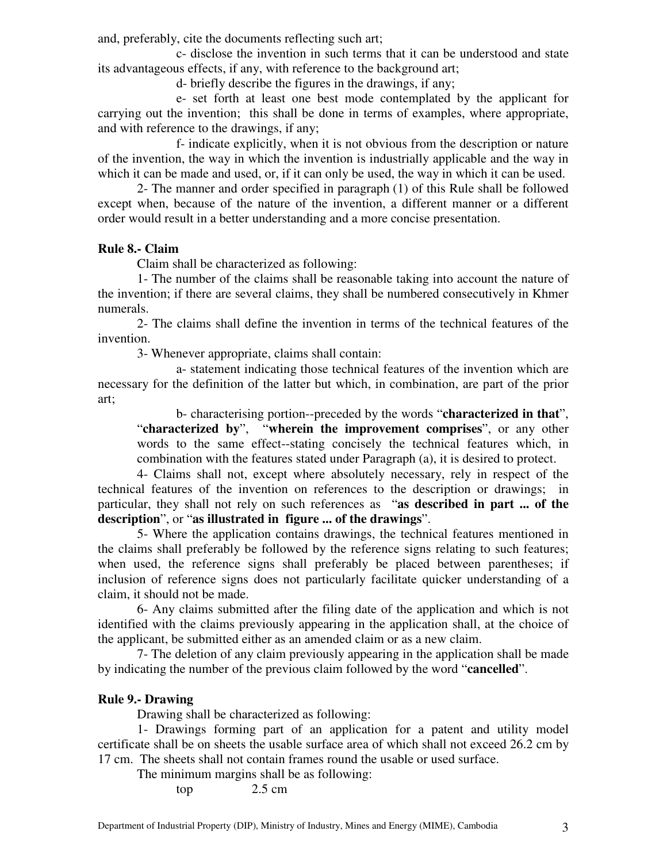and, preferably, cite the documents reflecting such art;

 c- disclose the invention in such terms that it can be understood and state its advantageous effects, if any, with reference to the background art;

d- briefly describe the figures in the drawings, if any;

 e- set forth at least one best mode contemplated by the applicant for carrying out the invention; this shall be done in terms of examples, where appropriate, and with reference to the drawings, if any;

 f- indicate explicitly, when it is not obvious from the description or nature of the invention, the way in which the invention is industrially applicable and the way in which it can be made and used, or, if it can only be used, the way in which it can be used.

2- The manner and order specified in paragraph (1) of this Rule shall be followed except when, because of the nature of the invention, a different manner or a different order would result in a better understanding and a more concise presentation.

# **Rule 8.- Claim**

Claim shall be characterized as following:

1- The number of the claims shall be reasonable taking into account the nature of the invention; if there are several claims, they shall be numbered consecutively in Khmer numerals.

2- The claims shall define the invention in terms of the technical features of the invention.

3- Whenever appropriate, claims shall contain:

 a- statement indicating those technical features of the invention which are necessary for the definition of the latter but which, in combination, are part of the prior art;

b- characterising portion--preceded by the words "**characterized in that**", "**characterized by**", "**wherein the improvement comprises**", or any other words to the same effect--stating concisely the technical features which, in combination with the features stated under Paragraph (a), it is desired to protect.

 4- Claims shall not, except where absolutely necessary, rely in respect of the technical features of the invention on references to the description or drawings; in particular, they shall not rely on such references as "**as described in part ... of the description**", or "**as illustrated in figure ... of the drawings**".

5- Where the application contains drawings, the technical features mentioned in the claims shall preferably be followed by the reference signs relating to such features; when used, the reference signs shall preferably be placed between parentheses; if inclusion of reference signs does not particularly facilitate quicker understanding of a claim, it should not be made.

6- Any claims submitted after the filing date of the application and which is not identified with the claims previously appearing in the application shall, at the choice of the applicant, be submitted either as an amended claim or as a new claim.

7- The deletion of any claim previously appearing in the application shall be made by indicating the number of the previous claim followed by the word "**cancelled**".

# **Rule 9.- Drawing**

Drawing shall be characterized as following:

1- Drawings forming part of an application for a patent and utility model certificate shall be on sheets the usable surface area of which shall not exceed 26.2 cm by 17 cm. The sheets shall not contain frames round the usable or used surface.

The minimum margins shall be as following:

top 2.5 cm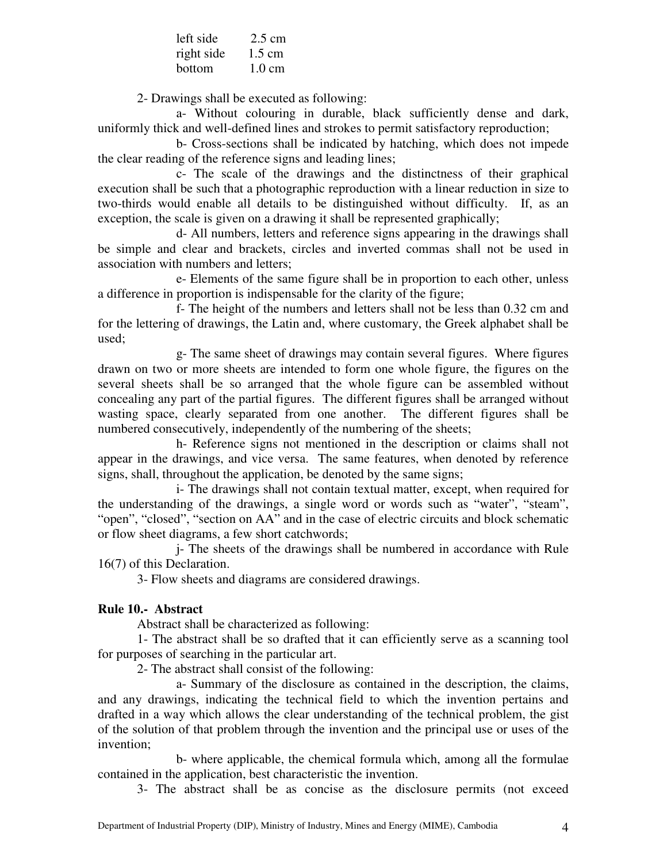| left side  | $2.5 \text{ cm}$ |
|------------|------------------|
| right side | $1.5 \text{ cm}$ |
| bottom     | $1.0 \text{ cm}$ |

2- Drawings shall be executed as following:

 a- Without colouring in durable, black sufficiently dense and dark, uniformly thick and well-defined lines and strokes to permit satisfactory reproduction;

 b- Cross-sections shall be indicated by hatching, which does not impede the clear reading of the reference signs and leading lines;

 c- The scale of the drawings and the distinctness of their graphical execution shall be such that a photographic reproduction with a linear reduction in size to two-thirds would enable all details to be distinguished without difficulty. If, as an exception, the scale is given on a drawing it shall be represented graphically;

 d- All numbers, letters and reference signs appearing in the drawings shall be simple and clear and brackets, circles and inverted commas shall not be used in association with numbers and letters;

 e- Elements of the same figure shall be in proportion to each other, unless a difference in proportion is indispensable for the clarity of the figure;

 f- The height of the numbers and letters shall not be less than 0.32 cm and for the lettering of drawings, the Latin and, where customary, the Greek alphabet shall be used;

 g- The same sheet of drawings may contain several figures. Where figures drawn on two or more sheets are intended to form one whole figure, the figures on the several sheets shall be so arranged that the whole figure can be assembled without concealing any part of the partial figures. The different figures shall be arranged without wasting space, clearly separated from one another. The different figures shall be numbered consecutively, independently of the numbering of the sheets;

 h- Reference signs not mentioned in the description or claims shall not appear in the drawings, and vice versa. The same features, when denoted by reference signs, shall, throughout the application, be denoted by the same signs;

 i- The drawings shall not contain textual matter, except, when required for the understanding of the drawings, a single word or words such as "water", "steam", "open", "closed", "section on AA" and in the case of electric circuits and block schematic or flow sheet diagrams, a few short catchwords;

 j- The sheets of the drawings shall be numbered in accordance with Rule 16(7) of this Declaration.

3- Flow sheets and diagrams are considered drawings.

# **Rule 10.- Abstract**

Abstract shall be characterized as following:

1- The abstract shall be so drafted that it can efficiently serve as a scanning tool for purposes of searching in the particular art.

2- The abstract shall consist of the following:

 a- Summary of the disclosure as contained in the description, the claims, and any drawings, indicating the technical field to which the invention pertains and drafted in a way which allows the clear understanding of the technical problem, the gist of the solution of that problem through the invention and the principal use or uses of the invention;

 b- where applicable, the chemical formula which, among all the formulae contained in the application, best characteristic the invention.

3- The abstract shall be as concise as the disclosure permits (not exceed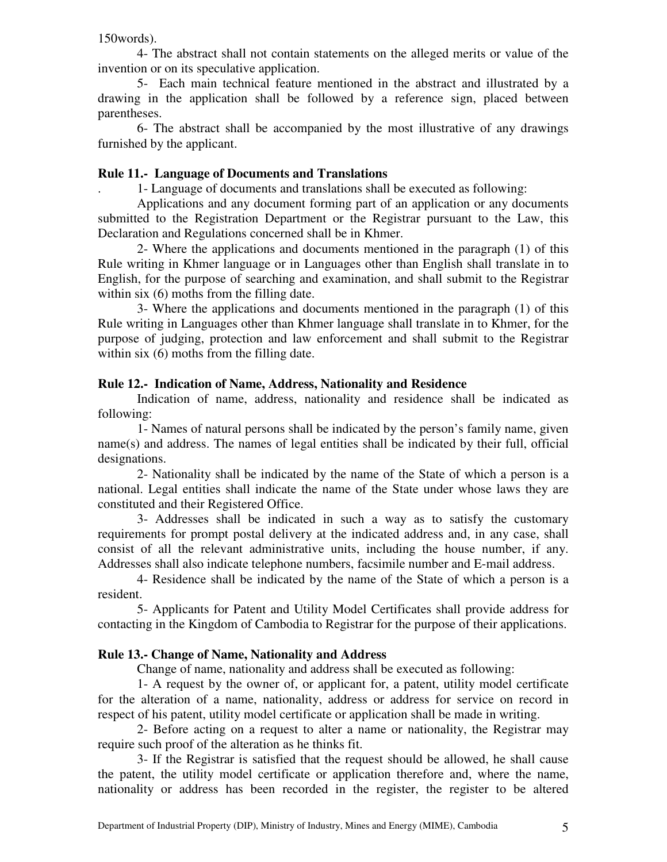#### 150words).

 4- The abstract shall not contain statements on the alleged merits or value of the invention or on its speculative application.

5- Each main technical feature mentioned in the abstract and illustrated by a drawing in the application shall be followed by a reference sign, placed between parentheses.

6- The abstract shall be accompanied by the most illustrative of any drawings furnished by the applicant.

# **Rule 11.- Language of Documents and Translations**

. 1- Language of documents and translations shall be executed as following:

Applications and any document forming part of an application or any documents submitted to the Registration Department or the Registrar pursuant to the Law, this Declaration and Regulations concerned shall be in Khmer.

2- Where the applications and documents mentioned in the paragraph (1) of this Rule writing in Khmer language or in Languages other than English shall translate in to English, for the purpose of searching and examination, and shall submit to the Registrar within six (6) moths from the filling date.

3- Where the applications and documents mentioned in the paragraph (1) of this Rule writing in Languages other than Khmer language shall translate in to Khmer, for the purpose of judging, protection and law enforcement and shall submit to the Registrar within six (6) moths from the filling date.

# **Rule 12.- Indication of Name, Address, Nationality and Residence**

 Indication of name, address, nationality and residence shall be indicated as following:

 1- Names of natural persons shall be indicated by the person's family name, given name(s) and address. The names of legal entities shall be indicated by their full, official designations.

 2- Nationality shall be indicated by the name of the State of which a person is a national. Legal entities shall indicate the name of the State under whose laws they are constituted and their Registered Office.

 3- Addresses shall be indicated in such a way as to satisfy the customary requirements for prompt postal delivery at the indicated address and, in any case, shall consist of all the relevant administrative units, including the house number, if any. Addresses shall also indicate telephone numbers, facsimile number and E-mail address.

 4- Residence shall be indicated by the name of the State of which a person is a resident.

 5- Applicants for Patent and Utility Model Certificates shall provide address for contacting in the Kingdom of Cambodia to Registrar for the purpose of their applications.

#### **Rule 13.- Change of Name, Nationality and Address**

Change of name, nationality and address shall be executed as following:

1- A request by the owner of, or applicant for, a patent, utility model certificate for the alteration of a name, nationality, address or address for service on record in respect of his patent, utility model certificate or application shall be made in writing.

 2- Before acting on a request to alter a name or nationality, the Registrar may require such proof of the alteration as he thinks fit.

 3- If the Registrar is satisfied that the request should be allowed, he shall cause the patent, the utility model certificate or application therefore and, where the name, nationality or address has been recorded in the register, the register to be altered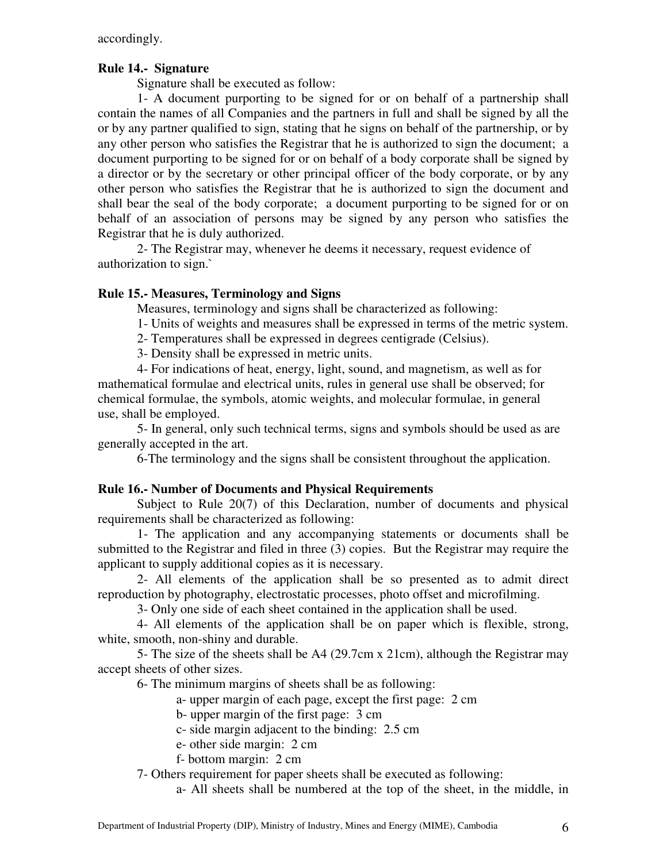accordingly.

# **Rule 14.- Signature**

Signature shall be executed as follow:

 1- A document purporting to be signed for or on behalf of a partnership shall contain the names of all Companies and the partners in full and shall be signed by all the or by any partner qualified to sign, stating that he signs on behalf of the partnership, or by any other person who satisfies the Registrar that he is authorized to sign the document; a document purporting to be signed for or on behalf of a body corporate shall be signed by a director or by the secretary or other principal officer of the body corporate, or by any other person who satisfies the Registrar that he is authorized to sign the document and shall bear the seal of the body corporate; a document purporting to be signed for or on behalf of an association of persons may be signed by any person who satisfies the Registrar that he is duly authorized.

2- The Registrar may, whenever he deems it necessary, request evidence of authorization to sign.`

# **Rule 15.- Measures, Terminology and Signs**

Measures, terminology and signs shall be characterized as following:

1- Units of weights and measures shall be expressed in terms of the metric system.

2- Temperatures shall be expressed in degrees centigrade (Celsius).

3- Density shall be expressed in metric units.

 4- For indications of heat, energy, light, sound, and magnetism, as well as for mathematical formulae and electrical units, rules in general use shall be observed; for chemical formulae, the symbols, atomic weights, and molecular formulae, in general use, shall be employed.

 5- In general, only such technical terms, signs and symbols should be used as are generally accepted in the art.

6-The terminology and the signs shall be consistent throughout the application.

# **Rule 16.- Number of Documents and Physical Requirements**

Subject to Rule 20(7) of this Declaration, number of documents and physical requirements shall be characterized as following:

1- The application and any accompanying statements or documents shall be submitted to the Registrar and filed in three (3) copies. But the Registrar may require the applicant to supply additional copies as it is necessary.

2- All elements of the application shall be so presented as to admit direct reproduction by photography, electrostatic processes, photo offset and microfilming.

3- Only one side of each sheet contained in the application shall be used.

 4- All elements of the application shall be on paper which is flexible, strong, white, smooth, non-shiny and durable.

5- The size of the sheets shall be A4 (29.7cm x 21cm), although the Registrar may accept sheets of other sizes.

6- The minimum margins of sheets shall be as following:

a- upper margin of each page, except the first page: 2 cm

b- upper margin of the first page: 3 cm

c- side margin adjacent to the binding: 2.5 cm

e- other side margin: 2 cm

f- bottom margin: 2 cm

7- Others requirement for paper sheets shall be executed as following:

a- All sheets shall be numbered at the top of the sheet, in the middle, in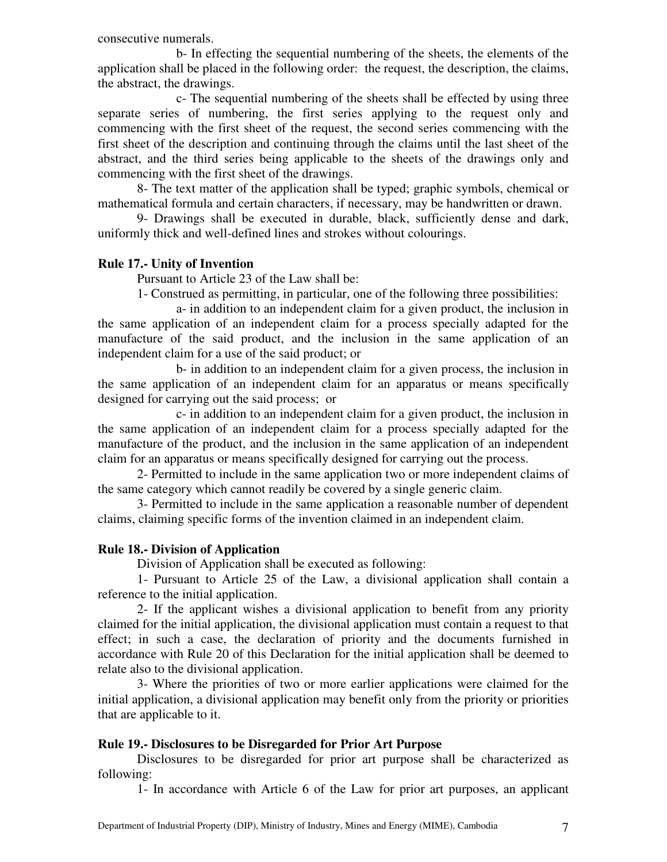consecutive numerals.

 b- In effecting the sequential numbering of the sheets, the elements of the application shall be placed in the following order: the request, the description, the claims, the abstract, the drawings.

 c- The sequential numbering of the sheets shall be effected by using three separate series of numbering, the first series applying to the request only and commencing with the first sheet of the request, the second series commencing with the first sheet of the description and continuing through the claims until the last sheet of the abstract, and the third series being applicable to the sheets of the drawings only and commencing with the first sheet of the drawings.

 8- The text matter of the application shall be typed; graphic symbols, chemical or mathematical formula and certain characters, if necessary, may be handwritten or drawn.

 9- Drawings shall be executed in durable, black, sufficiently dense and dark, uniformly thick and well-defined lines and strokes without colourings.

# **Rule 17.- Unity of Invention**

Pursuant to Article 23 of the Law shall be:

1- Construed as permitting, in particular, one of the following three possibilities:

 a- in addition to an independent claim for a given product, the inclusion in the same application of an independent claim for a process specially adapted for the manufacture of the said product, and the inclusion in the same application of an independent claim for a use of the said product; or

 b- in addition to an independent claim for a given process, the inclusion in the same application of an independent claim for an apparatus or means specifically designed for carrying out the said process; or

c- in addition to an independent claim for a given product, the inclusion in the same application of an independent claim for a process specially adapted for the manufacture of the product, and the inclusion in the same application of an independent claim for an apparatus or means specifically designed for carrying out the process.

2- Permitted to include in the same application two or more independent claims of the same category which cannot readily be covered by a single generic claim.

3- Permitted to include in the same application a reasonable number of dependent claims, claiming specific forms of the invention claimed in an independent claim.

# **Rule 18.- Division of Application**

Division of Application shall be executed as following:

1- Pursuant to Article 25 of the Law, a divisional application shall contain a reference to the initial application.

2- If the applicant wishes a divisional application to benefit from any priority claimed for the initial application, the divisional application must contain a request to that effect; in such a case, the declaration of priority and the documents furnished in accordance with Rule 20 of this Declaration for the initial application shall be deemed to relate also to the divisional application.

3- Where the priorities of two or more earlier applications were claimed for the initial application, a divisional application may benefit only from the priority or priorities that are applicable to it.

# **Rule 19.- Disclosures to be Disregarded for Prior Art Purpose**

Disclosures to be disregarded for prior art purpose shall be characterized as following:

1- In accordance with Article 6 of the Law for prior art purposes, an applicant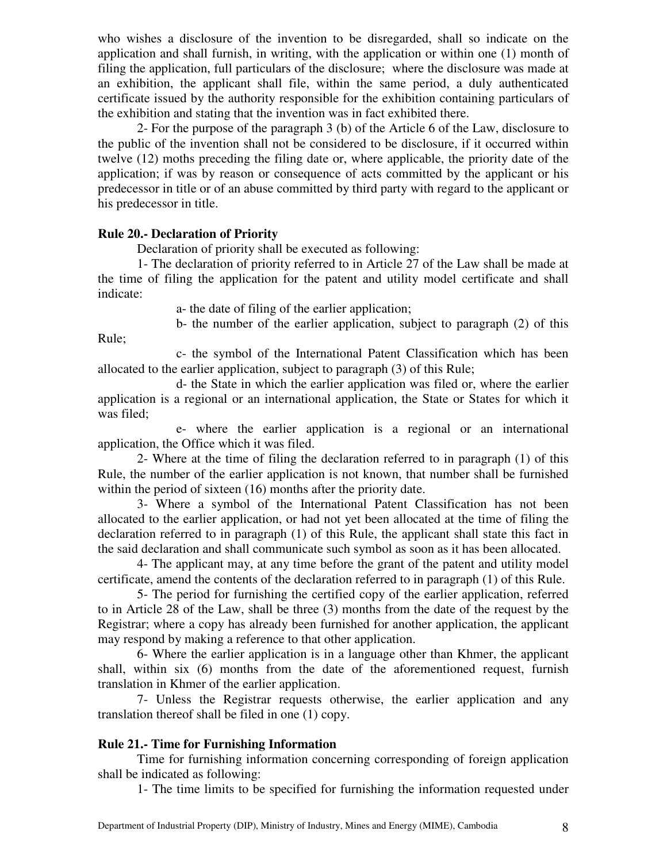who wishes a disclosure of the invention to be disregarded, shall so indicate on the application and shall furnish, in writing, with the application or within one (1) month of filing the application, full particulars of the disclosure; where the disclosure was made at an exhibition, the applicant shall file, within the same period, a duly authenticated certificate issued by the authority responsible for the exhibition containing particulars of the exhibition and stating that the invention was in fact exhibited there.

2- For the purpose of the paragraph 3 (b) of the Article 6 of the Law, disclosure to the public of the invention shall not be considered to be disclosure, if it occurred within twelve (12) moths preceding the filing date or, where applicable, the priority date of the application; if was by reason or consequence of acts committed by the applicant or his predecessor in title or of an abuse committed by third party with regard to the applicant or his predecessor in title.

# **Rule 20.- Declaration of Priority**

Rule;

Declaration of priority shall be executed as following:

1- The declaration of priority referred to in Article 27 of the Law shall be made at the time of filing the application for the patent and utility model certificate and shall indicate:

a- the date of filing of the earlier application;

b- the number of the earlier application, subject to paragraph (2) of this

c- the symbol of the International Patent Classification which has been allocated to the earlier application, subject to paragraph (3) of this Rule;

 d- the State in which the earlier application was filed or, where the earlier application is a regional or an international application, the State or States for which it was filed;

e- where the earlier application is a regional or an international application, the Office which it was filed.

2- Where at the time of filing the declaration referred to in paragraph (1) of this Rule, the number of the earlier application is not known, that number shall be furnished within the period of sixteen (16) months after the priority date.

3- Where a symbol of the International Patent Classification has not been allocated to the earlier application, or had not yet been allocated at the time of filing the declaration referred to in paragraph (1) of this Rule, the applicant shall state this fact in the said declaration and shall communicate such symbol as soon as it has been allocated.

4- The applicant may, at any time before the grant of the patent and utility model certificate, amend the contents of the declaration referred to in paragraph (1) of this Rule.

5- The period for furnishing the certified copy of the earlier application, referred to in Article 28 of the Law, shall be three (3) months from the date of the request by the Registrar; where a copy has already been furnished for another application, the applicant may respond by making a reference to that other application.

6- Where the earlier application is in a language other than Khmer, the applicant shall, within six (6) months from the date of the aforementioned request, furnish translation in Khmer of the earlier application.

7- Unless the Registrar requests otherwise, the earlier application and any translation thereof shall be filed in one (1) copy.

# **Rule 21.- Time for Furnishing Information**

Time for furnishing information concerning corresponding of foreign application shall be indicated as following:

1- The time limits to be specified for furnishing the information requested under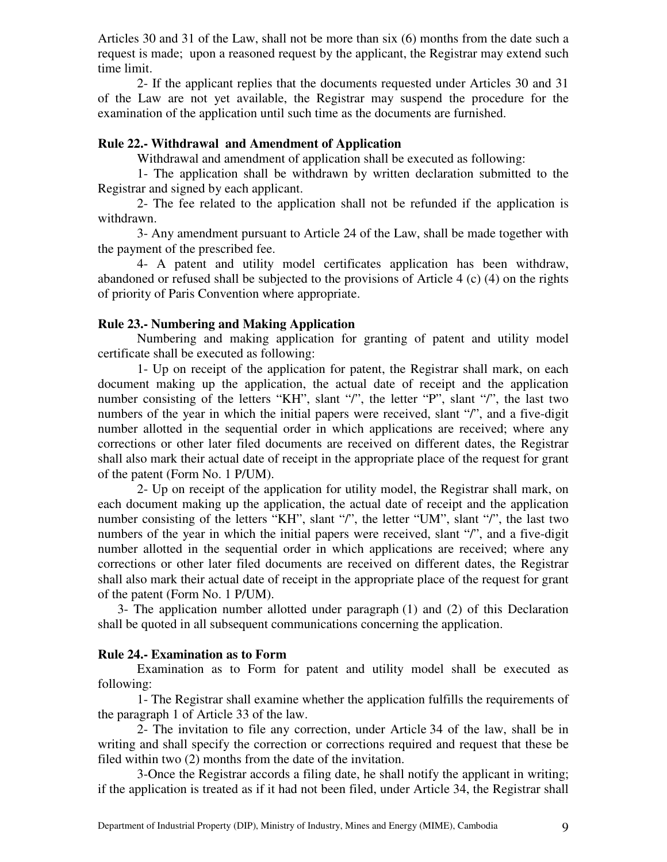Articles 30 and 31 of the Law, shall not be more than six (6) months from the date such a request is made; upon a reasoned request by the applicant, the Registrar may extend such time limit.

2- If the applicant replies that the documents requested under Articles 30 and 31 of the Law are not yet available, the Registrar may suspend the procedure for the examination of the application until such time as the documents are furnished.

# **Rule 22.- Withdrawal and Amendment of Application**

Withdrawal and amendment of application shall be executed as following:

1- The application shall be withdrawn by written declaration submitted to the Registrar and signed by each applicant.

2- The fee related to the application shall not be refunded if the application is withdrawn.

3- Any amendment pursuant to Article 24 of the Law, shall be made together with the payment of the prescribed fee.

4- A patent and utility model certificates application has been withdraw, abandoned or refused shall be subjected to the provisions of Article 4 (c) (4) on the rights of priority of Paris Convention where appropriate.

#### **Rule 23.- Numbering and Making Application**

Numbering and making application for granting of patent and utility model certificate shall be executed as following:

1- Up on receipt of the application for patent, the Registrar shall mark, on each document making up the application, the actual date of receipt and the application number consisting of the letters "KH", slant "/", the letter "P", slant "/", the last two numbers of the year in which the initial papers were received, slant "/", and a five-digit number allotted in the sequential order in which applications are received; where any corrections or other later filed documents are received on different dates, the Registrar shall also mark their actual date of receipt in the appropriate place of the request for grant of the patent (Form No. 1 P/UM).

2- Up on receipt of the application for utility model, the Registrar shall mark, on each document making up the application, the actual date of receipt and the application number consisting of the letters "KH", slant "/", the letter "UM", slant "/", the last two numbers of the year in which the initial papers were received, slant "/", and a five-digit number allotted in the sequential order in which applications are received; where any corrections or other later filed documents are received on different dates, the Registrar shall also mark their actual date of receipt in the appropriate place of the request for grant of the patent (Form No. 1 P/UM).

 3- The application number allotted under paragraph (1) and (2) of this Declaration shall be quoted in all subsequent communications concerning the application.

### **Rule 24.- Examination as to Form**

Examination as to Form for patent and utility model shall be executed as following:

1- The Registrar shall examine whether the application fulfills the requirements of the paragraph 1 of Article 33 of the law.

2- The invitation to file any correction, under Article 34 of the law, shall be in writing and shall specify the correction or corrections required and request that these be filed within two (2) months from the date of the invitation.

3-Once the Registrar accords a filing date, he shall notify the applicant in writing; if the application is treated as if it had not been filed, under Article 34, the Registrar shall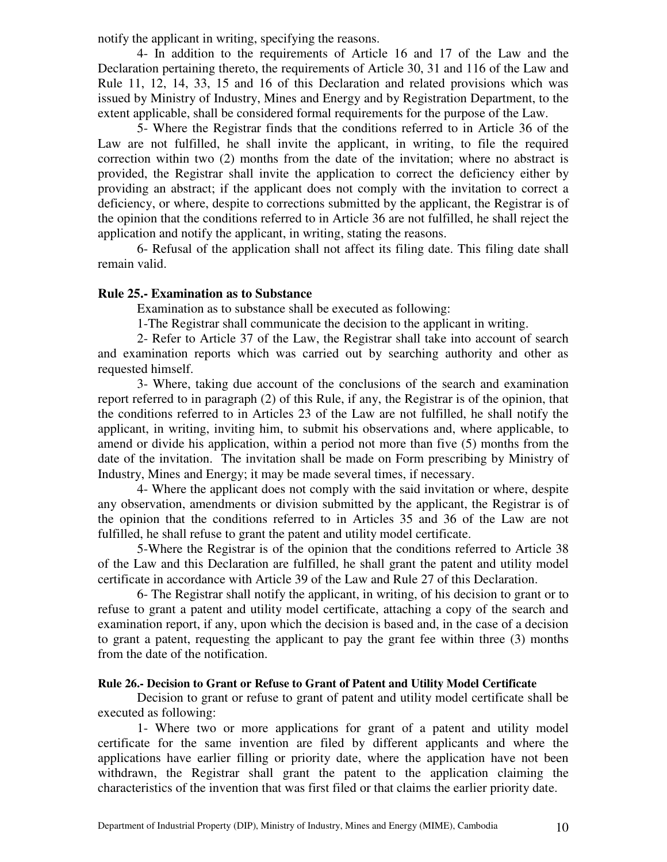notify the applicant in writing, specifying the reasons.

4- In addition to the requirements of Article 16 and 17 of the Law and the Declaration pertaining thereto, the requirements of Article 30, 31 and 116 of the Law and Rule 11, 12, 14, 33, 15 and 16 of this Declaration and related provisions which was issued by Ministry of Industry, Mines and Energy and by Registration Department, to the extent applicable, shall be considered formal requirements for the purpose of the Law.

5- Where the Registrar finds that the conditions referred to in Article 36 of the Law are not fulfilled, he shall invite the applicant, in writing, to file the required correction within two (2) months from the date of the invitation; where no abstract is provided, the Registrar shall invite the application to correct the deficiency either by providing an abstract; if the applicant does not comply with the invitation to correct a deficiency, or where, despite to corrections submitted by the applicant, the Registrar is of the opinion that the conditions referred to in Article 36 are not fulfilled, he shall reject the application and notify the applicant, in writing, stating the reasons.

6- Refusal of the application shall not affect its filing date. This filing date shall remain valid.

### **Rule 25.- Examination as to Substance**

Examination as to substance shall be executed as following:

1-The Registrar shall communicate the decision to the applicant in writing.

2- Refer to Article 37 of the Law, the Registrar shall take into account of search and examination reports which was carried out by searching authority and other as requested himself.

3- Where, taking due account of the conclusions of the search and examination report referred to in paragraph (2) of this Rule, if any, the Registrar is of the opinion, that the conditions referred to in Articles 23 of the Law are not fulfilled, he shall notify the applicant, in writing, inviting him, to submit his observations and, where applicable, to amend or divide his application, within a period not more than five (5) months from the date of the invitation. The invitation shall be made on Form prescribing by Ministry of Industry, Mines and Energy; it may be made several times, if necessary.

4- Where the applicant does not comply with the said invitation or where, despite any observation, amendments or division submitted by the applicant, the Registrar is of the opinion that the conditions referred to in Articles 35 and 36 of the Law are not fulfilled, he shall refuse to grant the patent and utility model certificate.

5-Where the Registrar is of the opinion that the conditions referred to Article 38 of the Law and this Declaration are fulfilled, he shall grant the patent and utility model certificate in accordance with Article 39 of the Law and Rule 27 of this Declaration.

6- The Registrar shall notify the applicant, in writing, of his decision to grant or to refuse to grant a patent and utility model certificate, attaching a copy of the search and examination report, if any, upon which the decision is based and, in the case of a decision to grant a patent, requesting the applicant to pay the grant fee within three (3) months from the date of the notification.

#### **Rule 26.- Decision to Grant or Refuse to Grant of Patent and Utility Model Certificate**

Decision to grant or refuse to grant of patent and utility model certificate shall be executed as following:

1- Where two or more applications for grant of a patent and utility model certificate for the same invention are filed by different applicants and where the applications have earlier filling or priority date, where the application have not been withdrawn, the Registrar shall grant the patent to the application claiming the characteristics of the invention that was first filed or that claims the earlier priority date.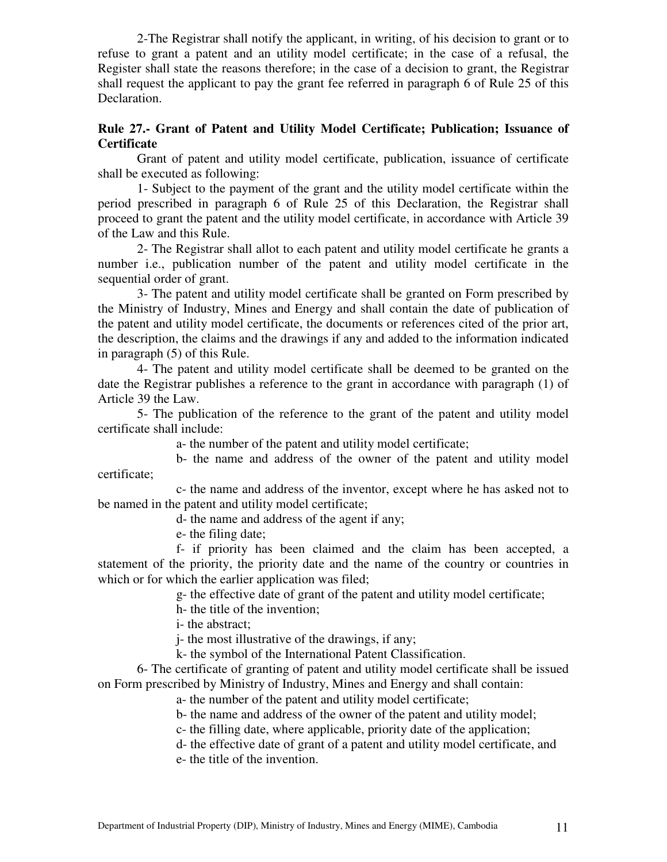2-The Registrar shall notify the applicant, in writing, of his decision to grant or to refuse to grant a patent and an utility model certificate; in the case of a refusal, the Register shall state the reasons therefore; in the case of a decision to grant, the Registrar shall request the applicant to pay the grant fee referred in paragraph 6 of Rule 25 of this Declaration.

# **Rule 27.- Grant of Patent and Utility Model Certificate; Publication; Issuance of Certificate**

Grant of patent and utility model certificate, publication, issuance of certificate shall be executed as following:

1- Subject to the payment of the grant and the utility model certificate within the period prescribed in paragraph 6 of Rule 25 of this Declaration, the Registrar shall proceed to grant the patent and the utility model certificate, in accordance with Article 39 of the Law and this Rule.

2- The Registrar shall allot to each patent and utility model certificate he grants a number i.e., publication number of the patent and utility model certificate in the sequential order of grant.

3- The patent and utility model certificate shall be granted on Form prescribed by the Ministry of Industry, Mines and Energy and shall contain the date of publication of the patent and utility model certificate, the documents or references cited of the prior art, the description, the claims and the drawings if any and added to the information indicated in paragraph (5) of this Rule.

4- The patent and utility model certificate shall be deemed to be granted on the date the Registrar publishes a reference to the grant in accordance with paragraph (1) of Article 39 the Law.

5- The publication of the reference to the grant of the patent and utility model certificate shall include:

a- the number of the patent and utility model certificate;

b- the name and address of the owner of the patent and utility model certificate;

c- the name and address of the inventor, except where he has asked not to be named in the patent and utility model certificate;

d- the name and address of the agent if any;

e- the filing date;

f- if priority has been claimed and the claim has been accepted, a statement of the priority, the priority date and the name of the country or countries in which or for which the earlier application was filed;

g- the effective date of grant of the patent and utility model certificate;

h- the title of the invention;

i- the abstract;

j- the most illustrative of the drawings, if any;

k- the symbol of the International Patent Classification.

 6- The certificate of granting of patent and utility model certificate shall be issued on Form prescribed by Ministry of Industry, Mines and Energy and shall contain:

a- the number of the patent and utility model certificate;

b- the name and address of the owner of the patent and utility model;

c- the filling date, where applicable, priority date of the application;

d- the effective date of grant of a patent and utility model certificate, and

e- the title of the invention.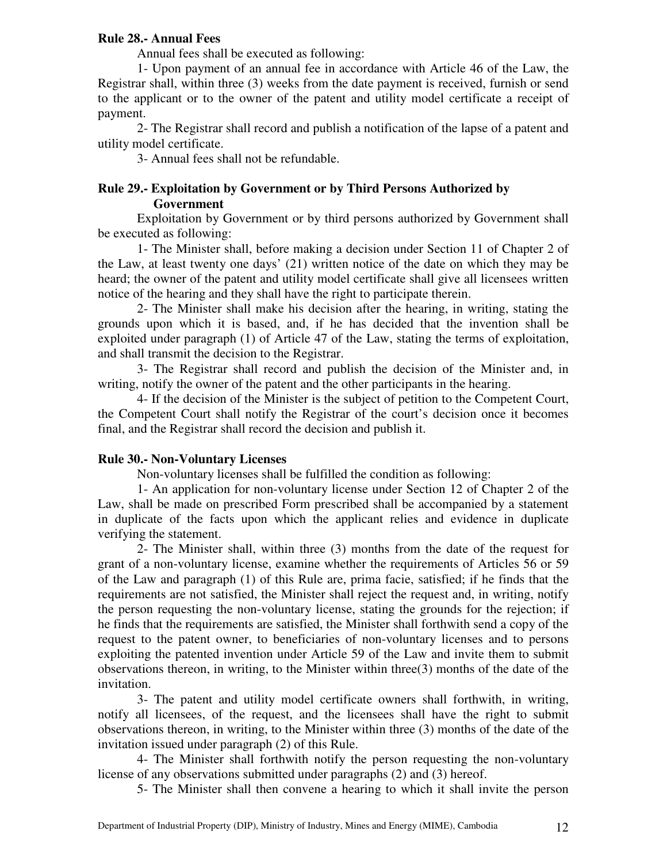#### **Rule 28.- Annual Fees**

Annual fees shall be executed as following:

 1- Upon payment of an annual fee in accordance with Article 46 of the Law, the Registrar shall, within three (3) weeks from the date payment is received, furnish or send to the applicant or to the owner of the patent and utility model certificate a receipt of payment.

2- The Registrar shall record and publish a notification of the lapse of a patent and utility model certificate.

3- Annual fees shall not be refundable.

# **Rule 29.- Exploitation by Government or by Third Persons Authorized by Government**

Exploitation by Government or by third persons authorized by Government shall be executed as following:

1- The Minister shall, before making a decision under Section 11 of Chapter 2 of the Law, at least twenty one days' (21) written notice of the date on which they may be heard; the owner of the patent and utility model certificate shall give all licensees written notice of the hearing and they shall have the right to participate therein.

2- The Minister shall make his decision after the hearing, in writing, stating the grounds upon which it is based, and, if he has decided that the invention shall be exploited under paragraph (1) of Article 47 of the Law, stating the terms of exploitation, and shall transmit the decision to the Registrar.

3- The Registrar shall record and publish the decision of the Minister and, in writing, notify the owner of the patent and the other participants in the hearing.

4- If the decision of the Minister is the subject of petition to the Competent Court, the Competent Court shall notify the Registrar of the court's decision once it becomes final, and the Registrar shall record the decision and publish it.

#### **Rule 30.- Non-Voluntary Licenses**

Non-voluntary licenses shall be fulfilled the condition as following:

1- An application for non-voluntary license under Section 12 of Chapter 2 of the Law, shall be made on prescribed Form prescribed shall be accompanied by a statement in duplicate of the facts upon which the applicant relies and evidence in duplicate verifying the statement.

2- The Minister shall, within three (3) months from the date of the request for grant of a non-voluntary license, examine whether the requirements of Articles 56 or 59 of the Law and paragraph (1) of this Rule are, prima facie, satisfied; if he finds that the requirements are not satisfied, the Minister shall reject the request and, in writing, notify the person requesting the non-voluntary license, stating the grounds for the rejection; if he finds that the requirements are satisfied, the Minister shall forthwith send a copy of the request to the patent owner, to beneficiaries of non-voluntary licenses and to persons exploiting the patented invention under Article 59 of the Law and invite them to submit observations thereon, in writing, to the Minister within three(3) months of the date of the invitation.

3- The patent and utility model certificate owners shall forthwith, in writing, notify all licensees, of the request, and the licensees shall have the right to submit observations thereon, in writing, to the Minister within three (3) months of the date of the invitation issued under paragraph (2) of this Rule.

4- The Minister shall forthwith notify the person requesting the non-voluntary license of any observations submitted under paragraphs (2) and (3) hereof.

5- The Minister shall then convene a hearing to which it shall invite the person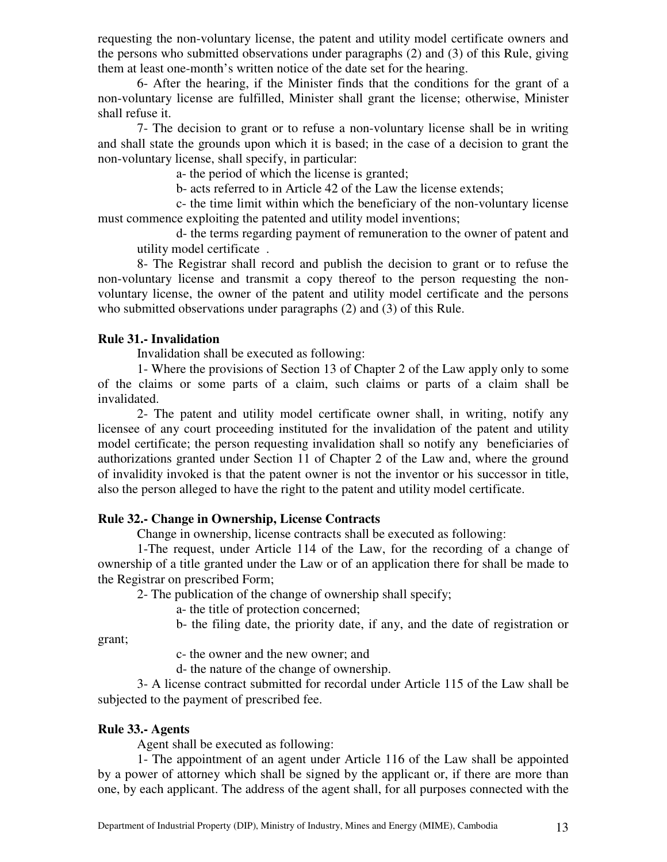requesting the non-voluntary license, the patent and utility model certificate owners and the persons who submitted observations under paragraphs (2) and (3) of this Rule, giving them at least one-month's written notice of the date set for the hearing.

6- After the hearing, if the Minister finds that the conditions for the grant of a non-voluntary license are fulfilled, Minister shall grant the license; otherwise, Minister shall refuse it.

7- The decision to grant or to refuse a non-voluntary license shall be in writing and shall state the grounds upon which it is based; in the case of a decision to grant the non-voluntary license, shall specify, in particular:

a- the period of which the license is granted;

b- acts referred to in Article 42 of the Law the license extends;

c- the time limit within which the beneficiary of the non-voluntary license must commence exploiting the patented and utility model inventions;

d- the terms regarding payment of remuneration to the owner of patent and utility model certificate .

8- The Registrar shall record and publish the decision to grant or to refuse the non-voluntary license and transmit a copy thereof to the person requesting the nonvoluntary license, the owner of the patent and utility model certificate and the persons who submitted observations under paragraphs (2) and (3) of this Rule.

# **Rule 31.- Invalidation**

Invalidation shall be executed as following:

1- Where the provisions of Section 13 of Chapter 2 of the Law apply only to some of the claims or some parts of a claim, such claims or parts of a claim shall be invalidated.

2- The patent and utility model certificate owner shall, in writing, notify any licensee of any court proceeding instituted for the invalidation of the patent and utility model certificate; the person requesting invalidation shall so notify any beneficiaries of authorizations granted under Section 11 of Chapter 2 of the Law and, where the ground of invalidity invoked is that the patent owner is not the inventor or his successor in title, also the person alleged to have the right to the patent and utility model certificate.

# **Rule 32.- Change in Ownership, License Contracts**

Change in ownership, license contracts shall be executed as following:

1-The request, under Article 114 of the Law, for the recording of a change of ownership of a title granted under the Law or of an application there for shall be made to the Registrar on prescribed Form;

2- The publication of the change of ownership shall specify;

a- the title of protection concerned;

b- the filing date, the priority date, if any, and the date of registration or

grant;

c- the owner and the new owner; and

d- the nature of the change of ownership.

3- A license contract submitted for recordal under Article 115 of the Law shall be subjected to the payment of prescribed fee.

# **Rule 33.- Agents**

Agent shall be executed as following:

1- The appointment of an agent under Article 116 of the Law shall be appointed by a power of attorney which shall be signed by the applicant or, if there are more than one, by each applicant. The address of the agent shall, for all purposes connected with the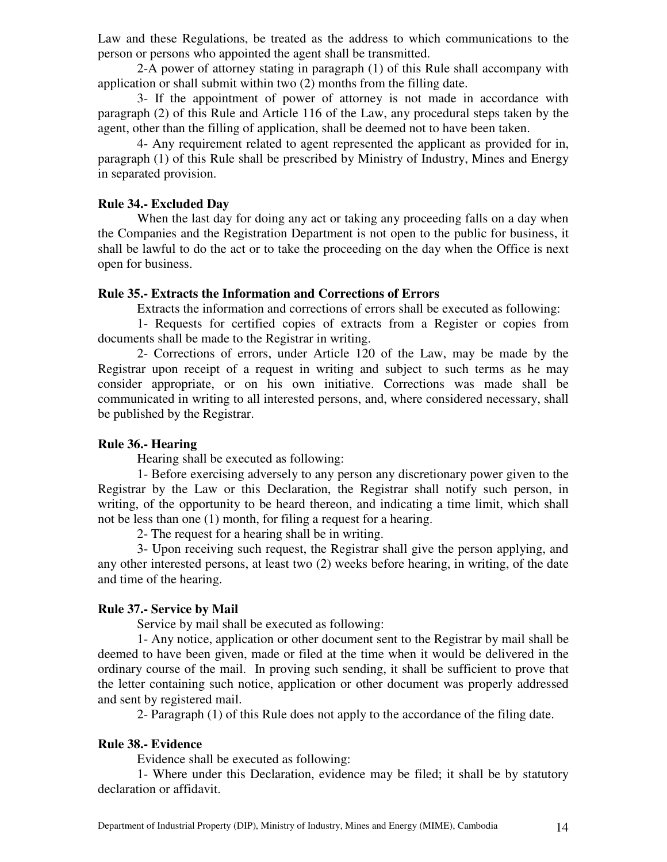Law and these Regulations, be treated as the address to which communications to the person or persons who appointed the agent shall be transmitted.

2-A power of attorney stating in paragraph (1) of this Rule shall accompany with application or shall submit within two (2) months from the filling date.

3- If the appointment of power of attorney is not made in accordance with paragraph (2) of this Rule and Article 116 of the Law, any procedural steps taken by the agent, other than the filling of application, shall be deemed not to have been taken.

4- Any requirement related to agent represented the applicant as provided for in, paragraph (1) of this Rule shall be prescribed by Ministry of Industry, Mines and Energy in separated provision.

### **Rule 34.- Excluded Day**

When the last day for doing any act or taking any proceeding falls on a day when the Companies and the Registration Department is not open to the public for business, it shall be lawful to do the act or to take the proceeding on the day when the Office is next open for business.

# **Rule 35.- Extracts the Information and Corrections of Errors**

Extracts the information and corrections of errors shall be executed as following:

1- Requests for certified copies of extracts from a Register or copies from documents shall be made to the Registrar in writing.

2- Corrections of errors, under Article 120 of the Law, may be made by the Registrar upon receipt of a request in writing and subject to such terms as he may consider appropriate, or on his own initiative. Corrections was made shall be communicated in writing to all interested persons, and, where considered necessary, shall be published by the Registrar.

#### **Rule 36.- Hearing**

Hearing shall be executed as following:

1- Before exercising adversely to any person any discretionary power given to the Registrar by the Law or this Declaration, the Registrar shall notify such person, in writing, of the opportunity to be heard thereon, and indicating a time limit, which shall not be less than one (1) month, for filing a request for a hearing.

2- The request for a hearing shall be in writing.

3- Upon receiving such request, the Registrar shall give the person applying, and any other interested persons, at least two (2) weeks before hearing, in writing, of the date and time of the hearing.

### **Rule 37.- Service by Mail**

Service by mail shall be executed as following:

1- Any notice, application or other document sent to the Registrar by mail shall be deemed to have been given, made or filed at the time when it would be delivered in the ordinary course of the mail. In proving such sending, it shall be sufficient to prove that the letter containing such notice, application or other document was properly addressed and sent by registered mail.

2- Paragraph (1) of this Rule does not apply to the accordance of the filing date.

#### **Rule 38.- Evidence**

Evidence shall be executed as following:

1- Where under this Declaration, evidence may be filed; it shall be by statutory declaration or affidavit.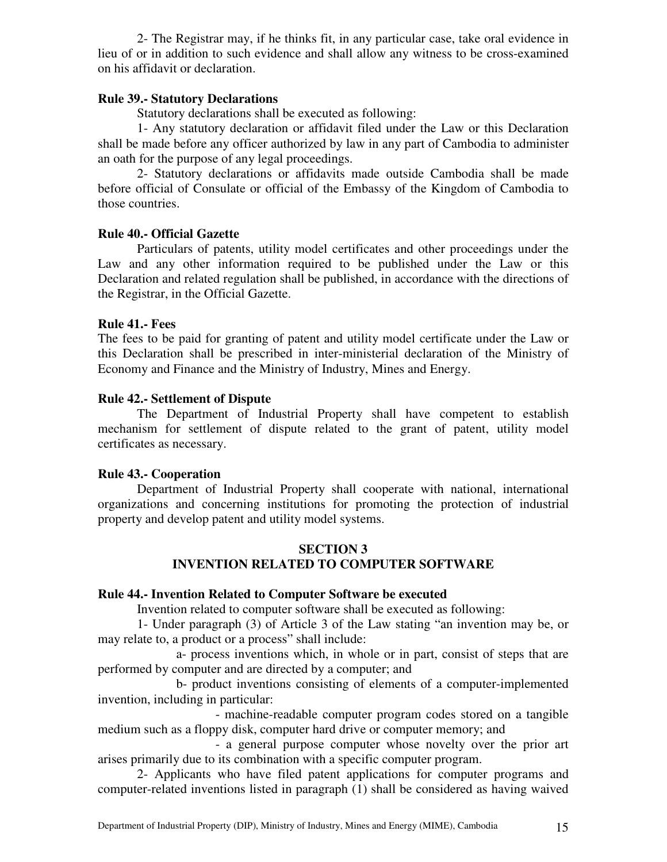2- The Registrar may, if he thinks fit, in any particular case, take oral evidence in lieu of or in addition to such evidence and shall allow any witness to be cross-examined on his affidavit or declaration.

# **Rule 39.- Statutory Declarations**

Statutory declarations shall be executed as following:

1- Any statutory declaration or affidavit filed under the Law or this Declaration shall be made before any officer authorized by law in any part of Cambodia to administer an oath for the purpose of any legal proceedings.

2- Statutory declarations or affidavits made outside Cambodia shall be made before official of Consulate or official of the Embassy of the Kingdom of Cambodia to those countries.

# **Rule 40.- Official Gazette**

Particulars of patents, utility model certificates and other proceedings under the Law and any other information required to be published under the Law or this Declaration and related regulation shall be published, in accordance with the directions of the Registrar, in the Official Gazette.

### **Rule 41.- Fees**

The fees to be paid for granting of patent and utility model certificate under the Law or this Declaration shall be prescribed in inter-ministerial declaration of the Ministry of Economy and Finance and the Ministry of Industry, Mines and Energy.

### **Rule 42.- Settlement of Dispute**

The Department of Industrial Property shall have competent to establish mechanism for settlement of dispute related to the grant of patent, utility model certificates as necessary.

# **Rule 43.- Cooperation**

Department of Industrial Property shall cooperate with national, international organizations and concerning institutions for promoting the protection of industrial property and develop patent and utility model systems.

### **SECTION 3 INVENTION RELATED TO COMPUTER SOFTWARE**

#### **Rule 44.- Invention Related to Computer Software be executed**

Invention related to computer software shall be executed as following:

1- Under paragraph (3) of Article 3 of the Law stating "an invention may be, or may relate to, a product or a process" shall include:

 a- process inventions which, in whole or in part, consist of steps that are performed by computer and are directed by a computer; and

 b- product inventions consisting of elements of a computer-implemented invention, including in particular:

 - machine-readable computer program codes stored on a tangible medium such as a floppy disk, computer hard drive or computer memory; and

 - a general purpose computer whose novelty over the prior art arises primarily due to its combination with a specific computer program.

2- Applicants who have filed patent applications for computer programs and computer-related inventions listed in paragraph (1) shall be considered as having waived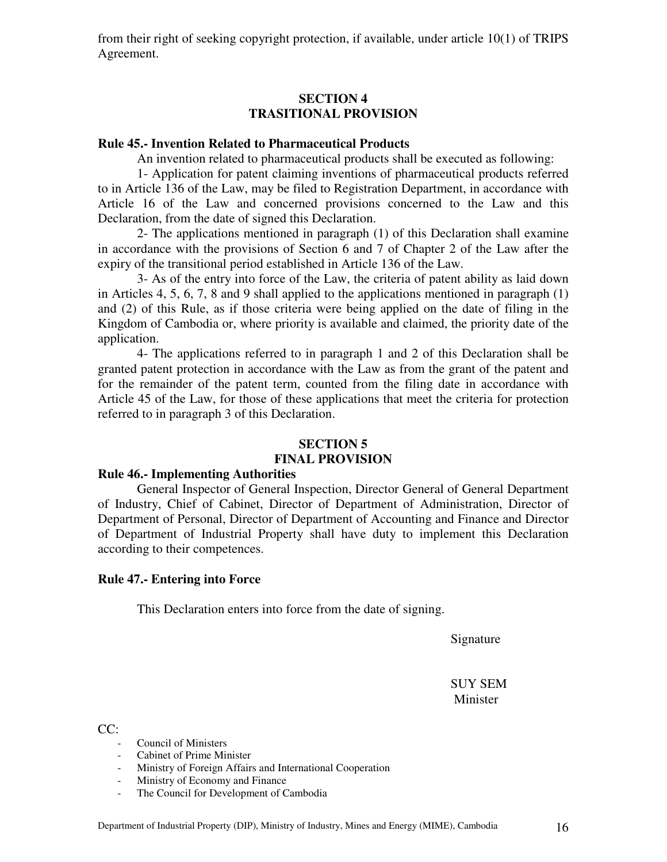from their right of seeking copyright protection, if available, under article 10(1) of TRIPS Agreement.

# **SECTION 4 TRASITIONAL PROVISION**

#### **Rule 45.- Invention Related to Pharmaceutical Products**

An invention related to pharmaceutical products shall be executed as following:

 1- Application for patent claiming inventions of pharmaceutical products referred to in Article 136 of the Law, may be filed to Registration Department, in accordance with Article 16 of the Law and concerned provisions concerned to the Law and this Declaration, from the date of signed this Declaration.

2- The applications mentioned in paragraph (1) of this Declaration shall examine in accordance with the provisions of Section 6 and 7 of Chapter 2 of the Law after the expiry of the transitional period established in Article 136 of the Law.

3- As of the entry into force of the Law, the criteria of patent ability as laid down in Articles 4, 5, 6, 7, 8 and 9 shall applied to the applications mentioned in paragraph (1) and (2) of this Rule, as if those criteria were being applied on the date of filing in the Kingdom of Cambodia or, where priority is available and claimed, the priority date of the application.

4- The applications referred to in paragraph 1 and 2 of this Declaration shall be granted patent protection in accordance with the Law as from the grant of the patent and for the remainder of the patent term, counted from the filing date in accordance with Article 45 of the Law, for those of these applications that meet the criteria for protection referred to in paragraph 3 of this Declaration.

#### **SECTION 5**

#### **FINAL PROVISION**

#### **Rule 46.- Implementing Authorities**

 General Inspector of General Inspection, Director General of General Department of Industry, Chief of Cabinet, Director of Department of Administration, Director of Department of Personal, Director of Department of Accounting and Finance and Director of Department of Industrial Property shall have duty to implement this Declaration according to their competences.

#### **Rule 47.- Entering into Force**

This Declaration enters into force from the date of signing.

Signature

SUY SEM Minister

CC:

- Council of Ministers
- Cabinet of Prime Minister
- Ministry of Foreign Affairs and International Cooperation
- Ministry of Economy and Finance
- The Council for Development of Cambodia